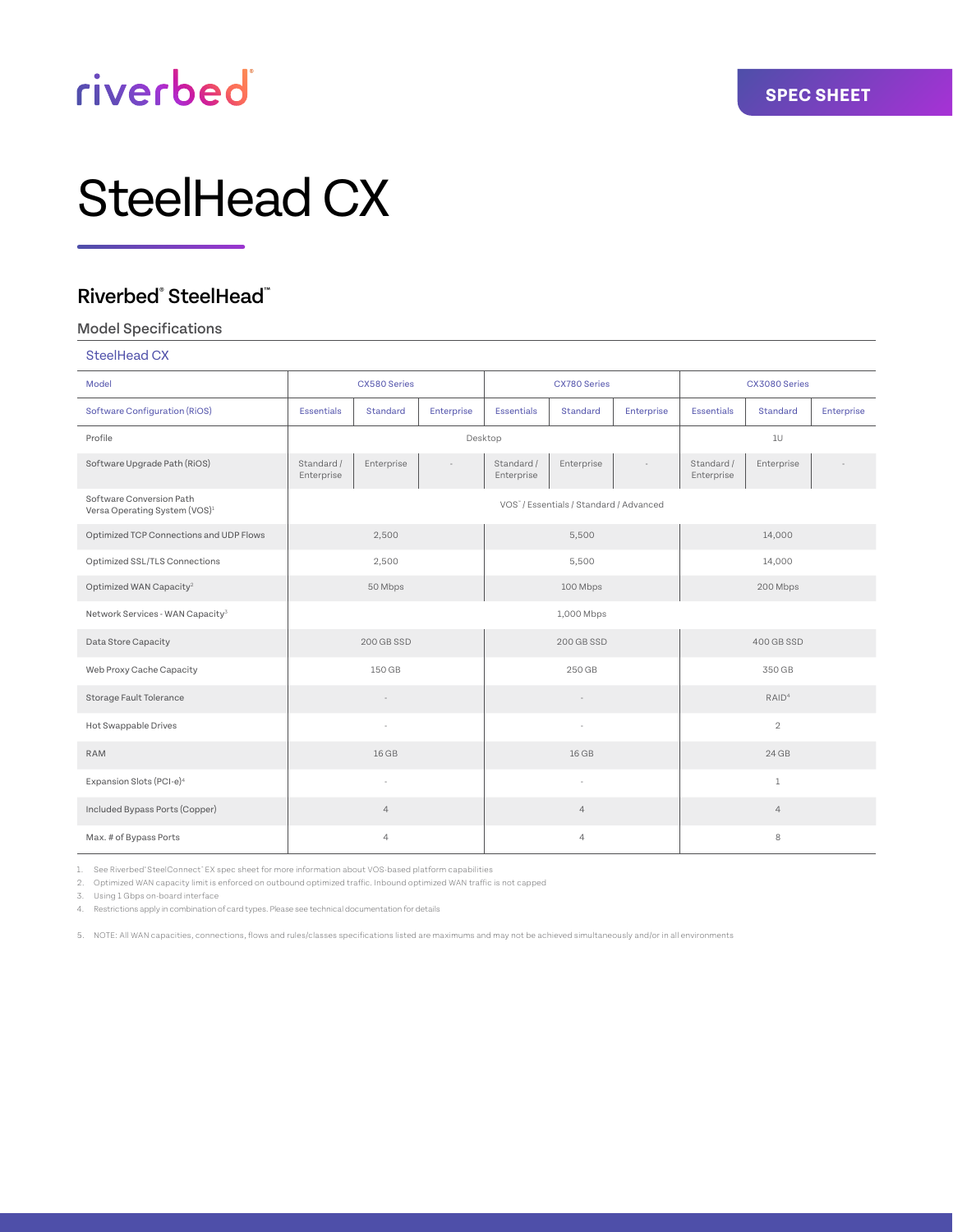# riverbed®

# SteelHead CX

### Riverbed® SteelHead™

#### Model Specifications

| SteelHead CX                                                          |                          |                |            |                          |                                         |            |                          |            |            |
|-----------------------------------------------------------------------|--------------------------|----------------|------------|--------------------------|-----------------------------------------|------------|--------------------------|------------|------------|
| Model                                                                 |                          | CX580 Series   |            | <b>CX780 Series</b>      |                                         |            | CX3080 Series            |            |            |
| <b>Software Configuration (RiOS)</b>                                  | <b>Essentials</b>        | Standard       | Enterprise | <b>Essentials</b>        | Standard                                | Enterprise | <b>Essentials</b>        | Standard   | Enterprise |
| Profile                                                               |                          |                |            | Desktop                  |                                         |            |                          | 10         |            |
| Software Upgrade Path (RiOS)                                          | Standard /<br>Enterprise | Enterprise     |            | Standard /<br>Enterprise | Enterprise                              |            | Standard /<br>Enterprise | Enterprise |            |
| Software Conversion Path<br>Versa Operating System (VOS) <sup>1</sup> |                          |                |            |                          | VOS" / Essentials / Standard / Advanced |            |                          |            |            |
| Optimized TCP Connections and UDP Flows                               |                          | 2,500          |            |                          | 5,500                                   |            |                          | 14,000     |            |
| Optimized SSL/TLS Connections                                         |                          | 2,500          |            | 5,500                    |                                         |            | 14,000                   |            |            |
| Optimized WAN Capacity <sup>2</sup>                                   |                          | 50 Mbps        |            | 100 Mbps                 |                                         |            | 200 Mbps                 |            |            |
| Network Services - WAN Capacity <sup>3</sup>                          |                          |                |            | 1,000 Mbps               |                                         |            |                          |            |            |
| Data Store Capacity                                                   |                          | 200 GB SSD     |            |                          | 200 GB SSD                              |            |                          | 400 GB SSD |            |
| Web Proxy Cache Capacity                                              |                          | 150 GB         |            | 250 GB                   |                                         |            | 350 GB                   |            |            |
| Storage Fault Tolerance                                               |                          | $\sim$         |            | $\sim$                   |                                         |            | RAID <sup>4</sup>        |            |            |
| Hot Swappable Drives                                                  |                          | $\sim$         |            | $\sim$                   |                                         |            | $\mathbf{2}$             |            |            |
| <b>RAM</b>                                                            | 16 GB                    |                |            | 16 GB                    |                                         |            | 24GB                     |            |            |
| Expansion Slots (PCI-e) <sup>4</sup>                                  | $\sim$                   |                |            | ÷                        |                                         |            | $\,1$                    |            |            |
| Included Bypass Ports (Copper)                                        |                          | $\overline{4}$ |            | $\overline{4}$           |                                         |            | $\overline{4}$           |            |            |
| Max. # of Bypass Ports                                                |                          | $\overline{4}$ |            | $\overline{4}$           |                                         |            | $\,$ 8                   |            |            |

1. See Riverbed® SteelConnect® EX spec sheet for more information about VOS-based platform capabilities

2. Optimized WAN capacity limit is enforced on outbound optimized traffic. Inbound optimized WAN traffic is not capped

3. Using 1 Gbps on-board interface

4. Restrictions apply in combination of card types. Please see technical documentation for details

5. NOTE: All WAN capacities, connections, flows and rules/classes specifications listed are maximums and may not be achieved simultaneously and/or in all environments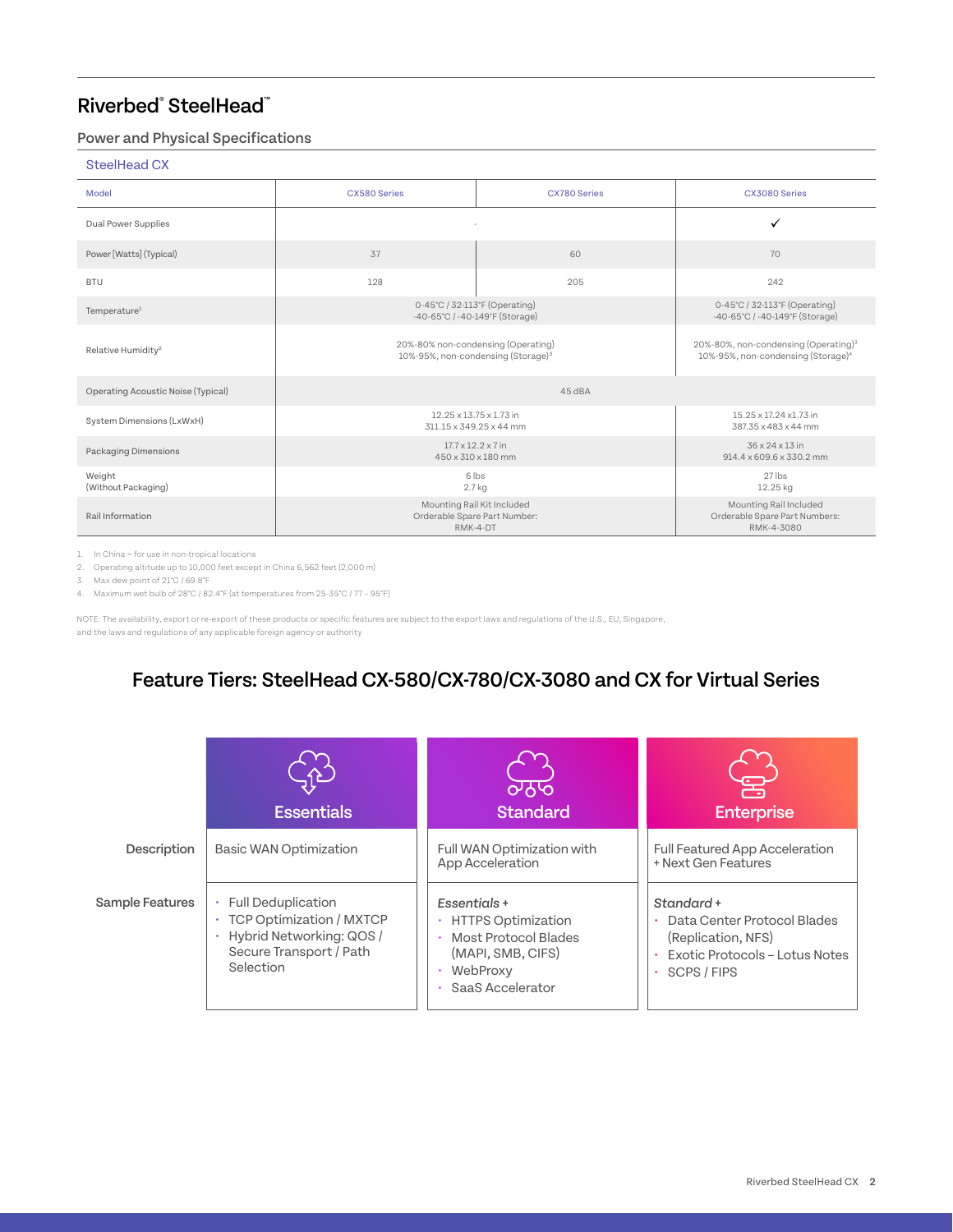### Power and Physical Specifications

#### SteelHead CX

| Model                              | CX580 Series                                                                         | <b>CX780 Series</b>                                                                                | CX3080 Series                                  |
|------------------------------------|--------------------------------------------------------------------------------------|----------------------------------------------------------------------------------------------------|------------------------------------------------|
| Dual Power Supplies                |                                                                                      |                                                                                                    | $\checkmark$                                   |
| Power [Watts] (Typical)            | 60<br>37                                                                             |                                                                                                    | 70                                             |
| <b>BTU</b>                         | 128                                                                                  | 205                                                                                                | 242                                            |
| Temperature <sup>1</sup>           | 0-45°C / 32-113°F (Operating)<br>-40-65°C / -40-149°F (Storage)                      | 0-45°C / 32-113°F (Operating)<br>-40-65°C / -40-149°F (Storage)                                    |                                                |
| Relative Humidity <sup>2</sup>     | 20%-80% non-condensing (Operating)<br>10%-95%, non-condensing (Storage) <sup>3</sup> | 20%-80%, non-condensing (Operating) <sup>3</sup><br>10%-95%, non-condensing (Storage) <sup>4</sup> |                                                |
| Operating Acoustic Noise (Typical) |                                                                                      | 45 dBA                                                                                             |                                                |
| System Dimensions (LxWxH)          |                                                                                      | 12.25 x 13.75 x 1.73 in<br>311.15 x 349.25 x 44 mm                                                 | 15.25 x 17.24 x1.73 in<br>387.35 x 483 x 44 mm |
| Packaging Dimensions               | $17.7 \times 12.2 \times 7$ in<br>450 x 310 x 180 mm                                 | 36 x 24 x 13 in<br>914.4 x 609.6 x 330.2 mm                                                        |                                                |
| Weight<br>(Without Packaging)      | 6 lbs<br>2.7 kg                                                                      | $27$ lbs<br>12.25 kg                                                                               |                                                |
| Rail Information                   | Mounting Rail Kit Included<br>Orderable Spare Part Number:<br>RMK-4-DT               | Mounting Rail Included<br>Orderable Spare Part Numbers:<br>RMK-4-3080                              |                                                |

1. In China – for use in non-tropical locations

2. Operating altitude up to 10,000 feet except in China 6,562 feet (2,000 m) 3. Max dew point of 21°C / 69.8°F

4. Maximum wet bulb of 28°C / 82.4°F (at temperatures from 25-35°C / 77 – 95°F)

NOTE: The availability, export or re-export of these products or specific features are subject to the export laws and regulations of the U.S., EU, Singapore, and the laws and regulations of any applicable foreign agency or authority

### Feature Tiers: SteelHead CX-580/CX-780/CX-3080 and CX for Virtual Series

|                 | <b>Essentials</b>                                                                                                                | लेरु<br><b>Standard</b>                                                                                                        | <b>Enterprise</b>                                                                                                |
|-----------------|----------------------------------------------------------------------------------------------------------------------------------|--------------------------------------------------------------------------------------------------------------------------------|------------------------------------------------------------------------------------------------------------------|
| Description     | <b>Basic WAN Optimization</b>                                                                                                    | Full WAN Optimization with<br>App Acceleration                                                                                 | Full Featured App Acceleration<br>+ Next Gen Features                                                            |
| Sample Features | <b>Full Deduplication</b><br><b>TCP Optimization / MXTCP</b><br>Hybrid Networking: QOS /<br>Secure Transport / Path<br>Selection | Essentials +<br>• HTTPS Optimization<br>Most Protocol Blades<br>(MAPI, SMB, CIFS)<br>WebProxy<br>SaaS Accelerator<br>$\bullet$ | Standard +<br>Data Center Protocol Blades<br>(Replication, NFS)<br>Exotic Protocols - Lotus Notes<br>SCPS / FIPS |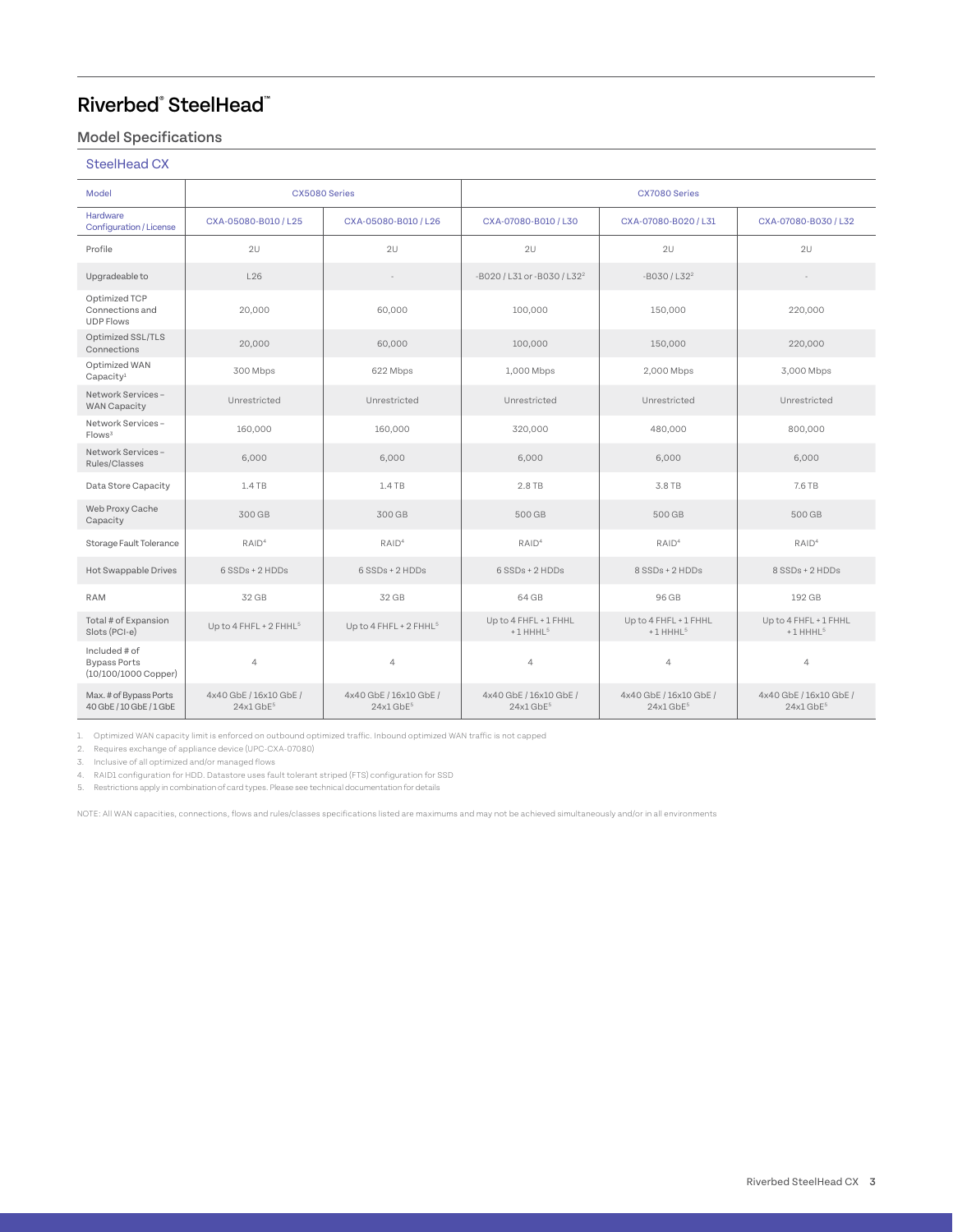### Model Specifications

### SteelHead CX

| Model                                                          | CX5080 Series                                     |                                                   | CX7080 Series                                     |                                                   |                                                   |  |
|----------------------------------------------------------------|---------------------------------------------------|---------------------------------------------------|---------------------------------------------------|---------------------------------------------------|---------------------------------------------------|--|
| <b>Hardware</b><br><b>Configuration / License</b>              | CXA-05080-B010 / L25                              | CXA-05080-B010 / L26                              | CXA-07080-B010 / L30                              | CXA-07080-B020 / L31                              | CXA-07080-B030 / L32                              |  |
| Profile                                                        | 2U                                                | 2U                                                | 2U                                                | 2U                                                | 2U                                                |  |
| Upgradeable to                                                 | L26                                               | $\sim$                                            | -B020 / L31 or -B030 / L32 <sup>2</sup>           | $-B030/LS2^2$                                     | $\sim$                                            |  |
| Optimized TCP<br>Connections and<br><b>UDP Flows</b>           | 20,000                                            | 60,000                                            | 100,000                                           | 150,000                                           | 220,000                                           |  |
| Optimized SSL/TLS<br>Connections                               | 20,000                                            | 60,000                                            | 100,000                                           | 150,000                                           | 220,000                                           |  |
| Optimized WAN<br>Capacity <sup>1</sup>                         | 300 Mbps                                          | 622 Mbps                                          | 1,000 Mbps                                        | 2,000 Mbps                                        | 3,000 Mbps                                        |  |
| Network Services -<br><b>WAN Capacity</b>                      | Unrestricted                                      | Unrestricted                                      | Unrestricted                                      | Unrestricted                                      | Unrestricted                                      |  |
| Network Services -<br>Flows <sup>3</sup>                       | 160,000                                           | 160,000                                           | 320,000                                           | 480,000                                           | 800,000                                           |  |
| Network Services -<br>Rules/Classes                            | 6,000                                             | 6.000                                             | 6,000                                             | 6.000                                             | 6,000                                             |  |
| Data Store Capacity                                            | 1.4 TB                                            | 1.4 TB                                            | 2.8 TB                                            | 3.8 TB                                            | 7.6 TB                                            |  |
| Web Proxy Cache<br>Capacity                                    | 300 GB                                            | 300 GB                                            | 500 GB                                            | 500 GB                                            | 500 GB                                            |  |
| Storage Fault Tolerance                                        | RAID <sup>4</sup>                                 | RAID <sup>4</sup>                                 | RAID <sup>4</sup>                                 | RAID <sup>4</sup>                                 | RAID <sup>4</sup>                                 |  |
| Hot Swappable Drives                                           | 6 SSDs + 2 HDDs                                   | $6$ SSDs + 2 HDDs                                 | 6 SSDs + 2 HDDs                                   | 8 SSDs + 2 HDDs                                   | 8 SSDs + 2 HDDs                                   |  |
| <b>RAM</b>                                                     | 32 GB                                             | 32 GB                                             | 64 GB                                             | 96 GB                                             | 192 GB                                            |  |
| Total # of Expansion<br>Slots (PCI-e)                          | Up to 4 FHFL + 2 FHHL <sup>5</sup>                | Up to 4 FHFL + 2 FHHL <sup>5</sup>                | Up to 4 FHFL + 1 FHHL<br>+1 HHHL <sup>5</sup>     | Up to 4 FHFL + 1 FHHL<br>$+1$ HHHL <sup>5</sup>   | Up to 4 FHFL + 1 FHHL<br>$+1$ HHHL <sup>5</sup>   |  |
| Included # of<br><b>Bypass Ports</b><br>$(10/100/1000$ Copper) | $\overline{4}$                                    | $\overline{4}$                                    | $\overline{4}$                                    | $\overline{4}$                                    | $\overline{4}$                                    |  |
| Max. # of Bypass Ports<br>40 GbE / 10 GbE / 1 GbE              | 4x40 GbE / 16x10 GbE /<br>$24x1$ GbF <sup>5</sup> | 4x40 GbE / 16x10 GbE /<br>$24x1$ GbF <sup>5</sup> | 4x40 GbE / 16x10 GbE /<br>$24x1$ GbF <sup>5</sup> | 4x40 GbE / 16x10 GbE /<br>$24x1$ GbF <sup>5</sup> | 4x40 GbE / 16x10 GbE /<br>$24x1$ GbF <sup>5</sup> |  |

1. Optimized WAN capacity limit is enforced on outbound optimized traffic. Inbound optimized WAN traffic is not capped

2. Requires exchange of appliance device (UPC-CXA-07080)

3. Inclusive of all optimized and/or managed flows

4. RAID1 configuration for HDD. Datastore uses fault tolerant striped (FTS) configuration for SSD

5. Restrictions apply in combination of card types. Please see technical documentation for details

NOTE: All WAN capacities, connections, flows and rules/classes specifications listed are maximums and may not be achieved simultaneously and/or in all environments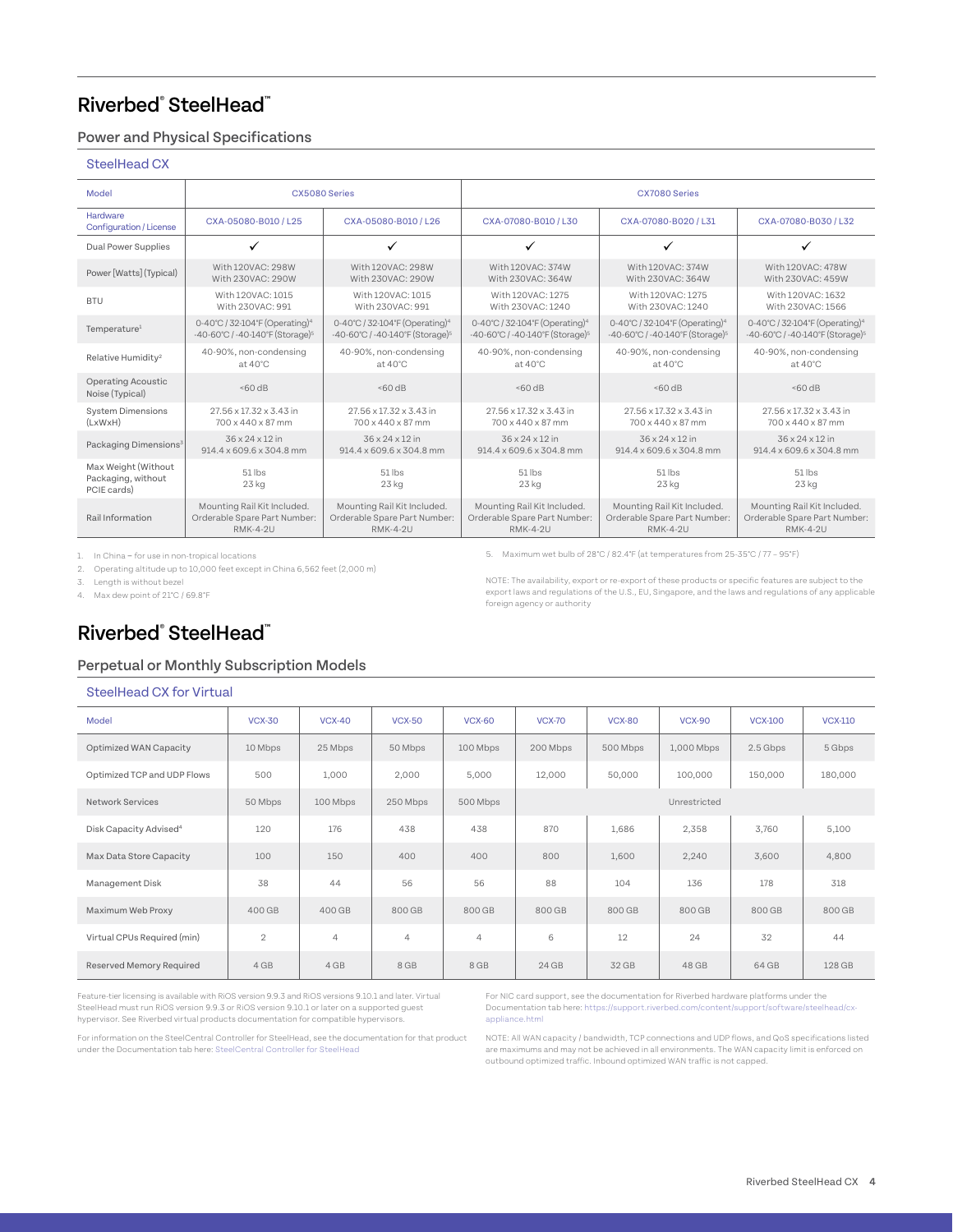### Power and Physical Specifications

#### SteelHead CX

| Model                                                    |                                             | CX5080 Series                               | CX7080 Series                               |                                             |                                             |  |
|----------------------------------------------------------|---------------------------------------------|---------------------------------------------|---------------------------------------------|---------------------------------------------|---------------------------------------------|--|
| Hardware<br>Configuration / License                      | CXA-05080-B010 / L25                        | CXA-05080-B010 / L26                        | CXA-07080-B010 / L30                        | CXA-07080-B020 / L31                        | CXA-07080-B030 / L32                        |  |
| Dual Power Supplies                                      | ✓                                           |                                             | $\checkmark$                                |                                             | ✓                                           |  |
| Power [Watts] (Typical)                                  | With 120VAC: 298W                           | With 120VAC: 298W                           | With 120VAC: 374W                           | With 120VAC: 374W                           | With 120VAC: 478W                           |  |
|                                                          | With 230VAC: 290W                           | With 230VAC: 290W                           | With 230VAC: 364W                           | With 230VAC: 364W                           | With 230VAC: 459W                           |  |
| <b>BTU</b>                                               | With 120VAC: 1015                           | With 120VAC: 1015                           | With 120VAC: 1275                           | With 120VAC: 1275                           | With 120VAC: 1632                           |  |
|                                                          | With 230VAC: 991                            | With 230VAC: 991                            | With 230VAC: 1240                           | With 230VAC: 1240                           | With 230VAC: 1566                           |  |
| Temperature <sup>1</sup>                                 | 0-40°C / 32-104°F (Operating) <sup>4</sup>  | 0-40°C / 32-104°F (Operating) <sup>4</sup>  | 0-40°C / 32-104°F (Operating) <sup>4</sup>  | 0-40°C / 32-104°F (Operating) <sup>4</sup>  | 0-40°C / 32-104°F (Operating) <sup>4</sup>  |  |
|                                                          | -40-60°C / -40-140°F (Storage) <sup>5</sup> | -40-60°C / -40-140°F (Storage) <sup>5</sup> | -40-60°C / -40-140°F (Storage) <sup>5</sup> | -40-60°C / -40-140°F (Storage) <sup>5</sup> | -40-60°C / -40-140°F (Storage) <sup>5</sup> |  |
| Relative Humidity <sup>2</sup>                           | 40-90%, non-condensing                      | 40-90%, non-condensing                      | 40-90%, non-condensing                      | 40-90%, non-condensing                      | 40-90%, non-condensing                      |  |
|                                                          | at $40^{\circ}$ C                           | at $40^{\circ}$ C                           | at $40^{\circ}$ C                           | at $40^{\circ}$ C                           | $at 40^{\circ}$ C                           |  |
| <b>Operating Acoustic</b><br>Noise (Typical)             | 50dB                                        | 50dB                                        | 50dB                                        | 50dB                                        | 560 dB                                      |  |
| <b>System Dimensions</b>                                 | 27.56 x 17.32 x 3.43 in                     | 27.56 x 17.32 x 3.43 in                     | 27.56 x 17.32 x 3.43 in                     | 27.56 x 17.32 x 3.43 in                     | 27.56 x 17.32 x 3.43 in                     |  |
| (LxWxH)                                                  | 700 x 440 x 87 mm                           | 700 x 440 x 87 mm                           | 700 x 440 x 87 mm                           | 700 x 440 x 87 mm                           | 700 x 440 x 87 mm                           |  |
| Packaging Dimensions <sup>3</sup>                        | 36 x 24 x 12 in                             | 36 x 24 x 12 in                             | 36 x 24 x 12 in                             | 36 x 24 x 12 in                             | 36 x 24 x 12 in                             |  |
|                                                          | 914.4 x 609.6 x 304.8 mm                    | 914.4 x 609.6 x 304.8 mm                    | 914.4 x 609.6 x 304.8 mm                    | 914.4 x 609.6 x 304.8 mm                    | 914.4 x 609.6 x 304.8 mm                    |  |
| Max Weight (Without<br>Packaging, without<br>PCIE cards) | 51 lbs<br>$23$ kg                           | 51 lbs<br>23 kg                             | $51$ lbs<br>$23$ kg                         | $51$ lbs<br>$23$ kg                         | $51$ lbs<br>$23$ kg                         |  |
| Rail Information                                         | Mounting Rail Kit Included.                 | Mounting Rail Kit Included.                 | Mounting Rail Kit Included.                 | Mounting Rail Kit Included.                 | Mounting Rail Kit Included.                 |  |
|                                                          | Orderable Spare Part Number:                | Orderable Spare Part Number:                | Orderable Spare Part Number:                | Orderable Spare Part Number:                | Orderable Spare Part Number:                |  |
|                                                          | <b>RMK-4-2U</b>                             | <b>RMK-4-2U</b>                             | <b>RMK-4-2U</b>                             | <b>RMK-4-2U</b>                             | <b>RMK-4-2U</b>                             |  |

1. In China – for use in non-tropical locations

2. Operating altitude up to 10,000 feet except in China 6,562 feet (2,000 m)

3. Length is without bezel

4. Max dew point of 21°C / 69.8°F

5. Maximum wet bulb of 28°C / 82.4°F (at temperatures from 25-35°C / 77 – 95°F)

NOTE: The availability, export or re-export of these products or specific features are subject to the export laws and regulations of the U.S., EU, Singapore, and the laws and regulations of any applicable foreign agency or authority

### Riverbed® SteelHead™

#### Perpetual or Monthly Subscription Models

#### SteelHead CX for Virtual

| Model                              | <b>VCX-30</b>  | <b>VCX-40</b>  | <b>VCX-50</b>  | <b>VCX-60</b>  | <b>VCX-70</b> | <b>VCX-80</b> | <b>VCX-90</b> | <b>VCX-100</b> | <b>VCX-110</b> |
|------------------------------------|----------------|----------------|----------------|----------------|---------------|---------------|---------------|----------------|----------------|
| Optimized WAN Capacity             | 10 Mbps        | 25 Mbps        | 50 Mbps        | 100 Mbps       | 200 Mbps      | 500 Mbps      | 1,000 Mbps    | 2.5 Gbps       | 5 Gbps         |
| Optimized TCP and UDP Flows        | 500            | 1,000          | 2,000          | 5,000          | 12,000        | 50,000        | 100,000       | 150,000        | 180,000        |
| <b>Network Services</b>            | 50 Mbps        | 100 Mbps       | 250 Mbps       | 500 Mbps       |               |               | Unrestricted  |                |                |
| Disk Capacity Advised <sup>4</sup> | 120            | 176            | 438            | 438            | 870           | 1,686         | 2,358         | 3,760          | 5,100          |
| Max Data Store Capacity            | 100            | 150            | 400            | 400            | 800           | 1,600         | 2,240         | 3,600          | 4,800          |
| Management Disk                    | 38             | 44             | 56             | 56             | 88            | 104           | 136           | 178            | 318            |
| Maximum Web Proxy                  | 400 GB         | 400 GB         | 800 GB         | 800 GB         | 800 GB        | 800 GB        | 800 GB        | 800 GB         | 800 GB         |
| Virtual CPUs Required (min)        | $\overline{2}$ | $\overline{4}$ | $\overline{4}$ | $\overline{4}$ | 6             | 12            | 24            | 32             | 44             |
| Reserved Memory Required           | 4 GB           | 4 GB           | 8 GB           | 8 GB           | 24GB          | 32 GB         | 48 GB         | 64 GB          | 128 GB         |

Feature-tier licensing is available with RiOS version 9.9.3 and RiOS versions 9.10.1 and later. Virtual SteelHead must run RiOS version 9.9.3 or RiOS version 9.10.1 or later on a supported guest hypervisor. See Riverbed virtual products documentation for compatible hypervisors.

For information on the SteelCentral Controller for SteelHead, see the documentation for that product under the Documentation tab here: [SteelCentral Controller for SteelHead](https://support.riverbed.com/content/support/software/steelcentral-ccm/steelhead-controller.html)

For NIC card support, see the documentation for Riverbed hardware platforms under the Documentation tab here: [https://support.riverbed.com/content/support/software/steelhead/cx](https://support.riverbed.com/content/support/software/steelhead/cx-appliance.html)[appliance.html](https://support.riverbed.com/content/support/software/steelhead/cx-appliance.html)

NOTE: All WAN capacity / bandwidth, TCP connections and UDP flows, and QoS specifications listed are maximums and may not be achieved in all environments. The WAN capacity limit is enforced on outbound optimized traffic. Inbound optimized WAN traffic is not capped.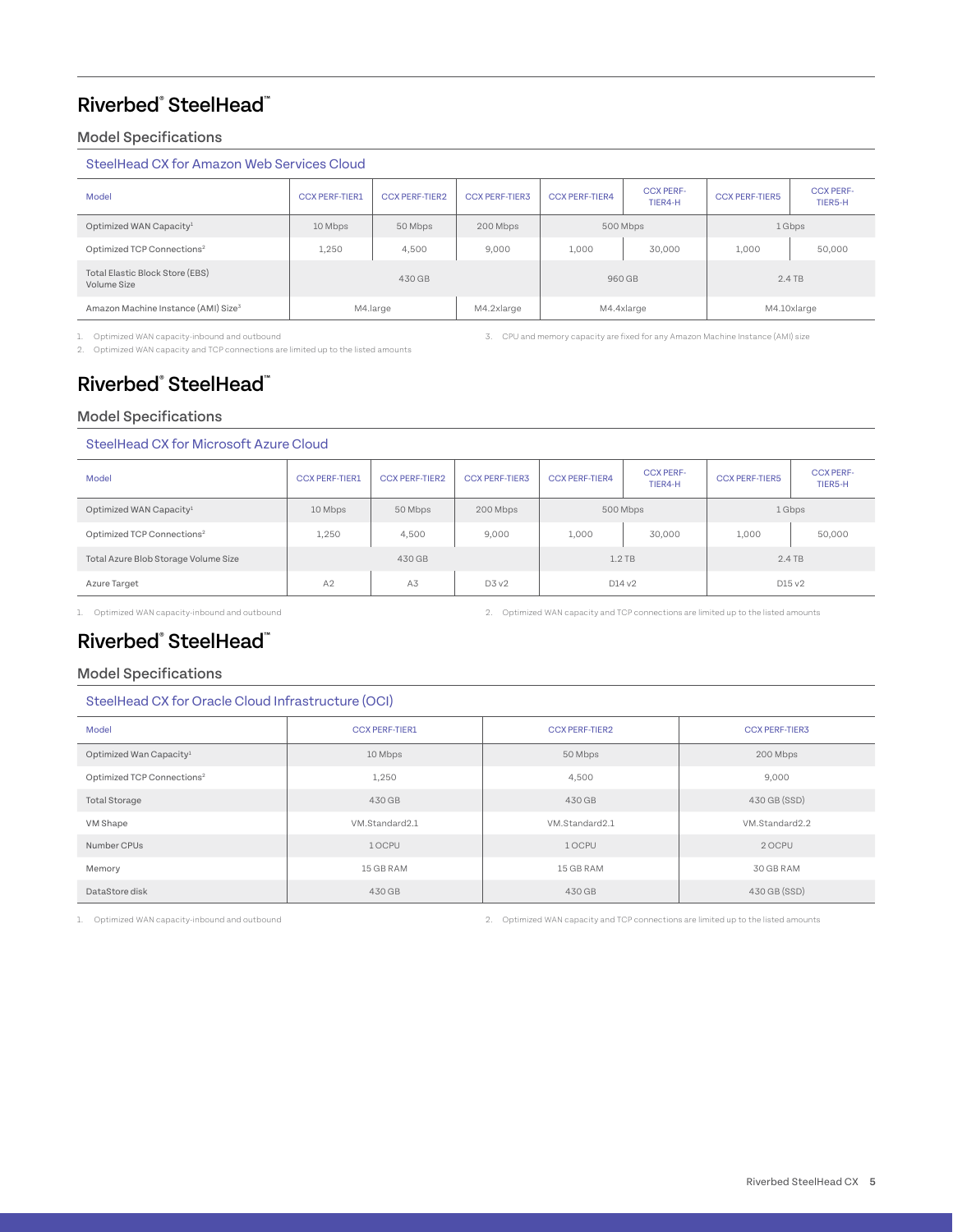### Model Specifications

#### SteelHead CX for Amazon Web Services Cloud

| Model                                           | <b>CCX PERF-TIER1</b> | <b>CCX PERF-TIER2</b> | <b>CCX PERF-TIER3</b> | <b>CCX PERF-TIER4</b> | <b>CCX PERF-</b><br>TIER4-H | <b>CCX PERF-TIER5</b> | <b>CCX PERF-</b><br>TIER5-H |
|-------------------------------------------------|-----------------------|-----------------------|-----------------------|-----------------------|-----------------------------|-----------------------|-----------------------------|
| Optimized WAN Capacity <sup>1</sup>             | 10 Mbps               | 50 Mbps               | 200 Mbps              | 500 Mbps              |                             | 1 Gbps                |                             |
| Optimized TCP Connections <sup>2</sup>          | 1,250                 | 4,500                 | 9.000                 | 1.000                 | 30,000                      | 1,000                 | 50,000                      |
| Total Elastic Block Store (EBS)<br>Volume Size  | 430 GB                |                       |                       | 960 GB                |                             | $2.4$ TB              |                             |
| Amazon Machine Instance (AMI) Size <sup>3</sup> | M4.large              |                       | M4.2xlarge            | M4.4xlarge            |                             | M4.10xlarge           |                             |

1. Optimized WAN capacity-inbound and outbound

2. Optimized WAN capacity and TCP connections are limited up to the listed amounts

3. CPU and memory capacity are fixed for any Amazon Machine Instance (AMI) size

### Riverbed® SteelHead™

### Model Specifications

#### SteelHead CX for Microsoft Azure Cloud

| Model                                  | <b>CCX PERF-TIER1</b> | <b>CCX PERF-TIER2</b> | <b>CCX PERF-TIER3</b> | <b>CCX PERF-TIER4</b> | <b>CCX PERF-</b><br>TIER4-H | <b>CCX PERF-TIER5</b> | <b>CCX PERF-</b><br>TIER5-H |
|----------------------------------------|-----------------------|-----------------------|-----------------------|-----------------------|-----------------------------|-----------------------|-----------------------------|
| Optimized WAN Capacity <sup>1</sup>    | 10 Mbps               | 50 Mbps               | 200 Mbps              | 500 Mbps              |                             | 1 Gbps                |                             |
| Optimized TCP Connections <sup>2</sup> | 1,250                 | 4,500                 | 9,000                 | 1,000                 | 30,000                      | 1,000                 | 50,000                      |
| Total Azure Blob Storage Volume Size   | 430 GB                |                       |                       | $1.2$ TB              |                             | $2.4$ TB              |                             |
| Azure Target                           | A2                    | A3                    | D3V2                  | D14v2                 |                             | D15 v2                |                             |

1. Optimized WAN capacity-inbound and outbound 2. Optimized WAN capacity and TCP connections are limited up to the listed amounts

### Riverbed® SteelHead™

#### Model Specifications

#### SteelHead CX for Oracle Cloud Infrastructure (OCI)

| Model                                  | <b>CCX PERF-TIER1</b> | <b>CCX PERF-TIER2</b> | <b>CCX PERF-TIER3</b> |
|----------------------------------------|-----------------------|-----------------------|-----------------------|
| Optimized Wan Capacity <sup>1</sup>    | 10 Mbps               | 50 Mbps               | 200 Mbps              |
| Optimized TCP Connections <sup>2</sup> | 1,250                 | 4,500                 | 9,000                 |
| <b>Total Storage</b>                   | 430 GB                | 430 GB                | 430 GB (SSD)          |
| VM Shape                               | VM.Standard2.1        | VM.Standard2.1        | VM.Standard2.2        |
| Number CPUs                            | 1 OCPU                | 1 OCPU                | 2 OCPU                |
| Memory                                 | 15 GB RAM             | 15 GB RAM             | 30 GB RAM             |
| DataStore disk                         | 430 GB                | 430 GB                | 430 GB (SSD)          |

1. Optimized WAN capacity-inbound and outbound 2. Optimized WAN capacity and TCP connections are limited up to the listed amounts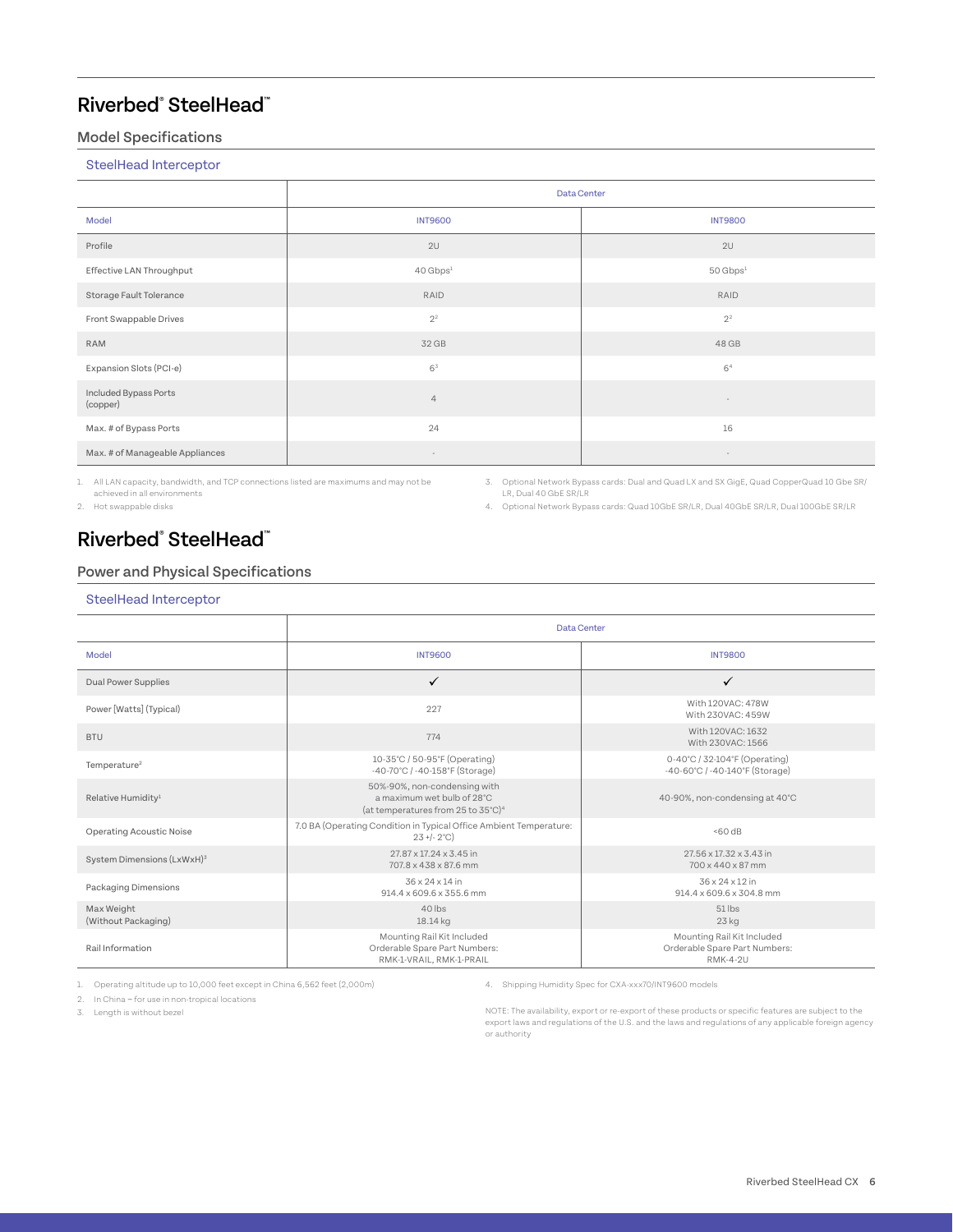### Model Specifications

SteelHead Interceptor

|                                   | Data Center                |                      |  |  |
|-----------------------------------|----------------------------|----------------------|--|--|
| Model                             | <b>INT9600</b>             | <b>INT9800</b>       |  |  |
| Profile                           | 2U                         | 2U                   |  |  |
| Effective LAN Throughput          | $40$ Gbps <sup>1</sup>     | 50 Gbps <sup>1</sup> |  |  |
| Storage Fault Tolerance           | RAID                       | RAID                 |  |  |
| Front Swappable Drives            | $2^{\scriptscriptstyle 2}$ | 2 <sup>2</sup>       |  |  |
| RAM                               | 32 GB                      | 48 GB                |  |  |
| Expansion Slots (PCI-e)           | $6^3$                      | 6 <sup>4</sup>       |  |  |
| Included Bypass Ports<br>(copper) | $\overline{4}$             |                      |  |  |
| Max. # of Bypass Ports            | 24                         | 16                   |  |  |
| Max. # of Manageable Appliances   | $\sim$                     | $\sim$               |  |  |

1. All LAN capacity, bandwidth, and TCP connections listed are maximums and may not be achieved in all environments

2. Hot swappable disks

3. Optional Network Bypass cards: Dual and Quad LX and SX GigE, Quad CopperQuad 10 Gbe SR/ LR, Dual 40 GbE SR/LR

4. Optional Network Bypass cards: Quad 10GbE SR/LR, Dual 40GbE SR/LR, Dual 100GbE SR/LR

### Riverbed® SteelHead™

### Power and Physical Specifications

#### SteelHead Interceptor

|                                   | Data Center                                                                                                            |                                                                                |  |  |  |
|-----------------------------------|------------------------------------------------------------------------------------------------------------------------|--------------------------------------------------------------------------------|--|--|--|
| Model                             | <b>INT9600</b>                                                                                                         | <b>INT9800</b>                                                                 |  |  |  |
| <b>Dual Power Supplies</b>        | $\checkmark$                                                                                                           | ✓                                                                              |  |  |  |
| Power [Watts] (Typical)           | 227                                                                                                                    | With 120VAC: 478W<br>With 230VAC: 459W                                         |  |  |  |
| <b>BTU</b>                        | 774                                                                                                                    | With 120VAC: 1632<br>With 230VAC: 1566                                         |  |  |  |
| Temperature <sup>2</sup>          | 10-35°C / 50-95°F (Operating)<br>-40-70°C / -40-158°F (Storage)                                                        | 0-40°C / 32-104°F (Operating)<br>-40-60°C / -40-140°F (Storage)                |  |  |  |
| Relative Humidity <sup>1</sup>    | 50%-90%, non-condensing with<br>a maximum wet bulb of 28°C<br>(at temperatures from 25 to $35^{\circ}$ C) <sup>4</sup> | 40-90%, non-condensing at 40°C                                                 |  |  |  |
| <b>Operating Acoustic Noise</b>   | 7.0 BA (Operating Condition in Typical Office Ambient Temperature:<br>$23 + (-2^{\circ}C)$                             | 50dB                                                                           |  |  |  |
| System Dimensions (LxWxH)3        | 27.87 x 17.24 x 3.45 in<br>707.8 x 438 x 87.6 mm                                                                       | 27.56 x 17.32 x 3.43 in<br>700 x 440 x 87 mm                                   |  |  |  |
| Packaging Dimensions              | 36 x 24 x 14 in<br>914.4 x 609.6 x 355.6 mm                                                                            | 36 x 24 x 12 in<br>914.4 x 609.6 x 304.8 mm                                    |  |  |  |
| Max Weight<br>(Without Packaging) | $40$ lbs<br>18.14 kg                                                                                                   | $51$ lbs<br>23 <sub>kg</sub>                                                   |  |  |  |
| Rail Information                  | Mounting Rail Kit Included<br>Orderable Spare Part Numbers:<br>RMK-1-VRAIL, RMK-1-PRAIL                                | Mounting Rail Kit Included<br>Orderable Spare Part Numbers:<br><b>RMK-4-2U</b> |  |  |  |

1. Operating altitude up to 10,000 feet except in China 6,562 feet (2,000m)

2. In China – for use in non-tropical locations

3. Length is without bezel

4. Shipping Humidity Spec for CXA-xxx70/INT9600 models

NOTE: The availability, export or re-export of these products or specific features are subject to the export laws and regulations of the U.S. and the laws and regulations of any applicable foreign agency or authority